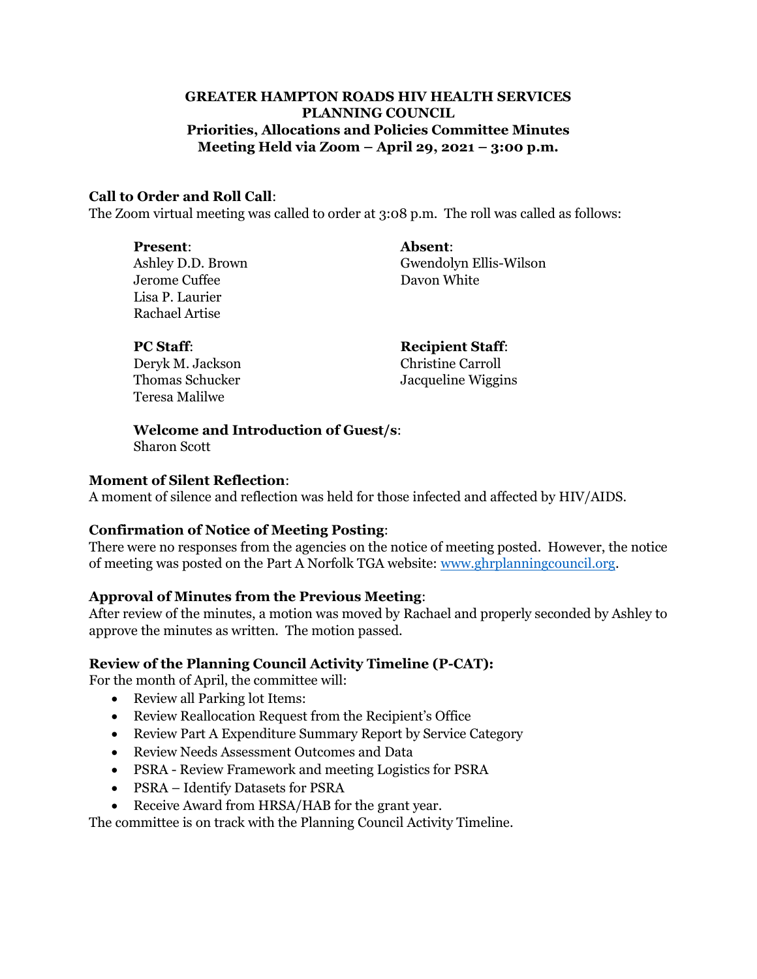# **GREATER HAMPTON ROADS HIV HEALTH SERVICES PLANNING COUNCIL Priorities, Allocations and Policies Committee Minutes Meeting Held via Zoom – April 29, 2021 – 3:00 p.m.**

### **Call to Order and Roll Call**:

The Zoom virtual meeting was called to order at 3:08 p.m. The roll was called as follows:

**Present**: **Absent**: Jerome Cuffee Davon White Lisa P. Laurier Rachael Artise

Ashley D.D. Brown Gwendolyn Ellis-Wilson

| <b>PC Staff:</b>       | <b>Recipient Staff:</b>  |
|------------------------|--------------------------|
| Deryk M. Jackson       | <b>Christine Carroll</b> |
| <b>Thomas Schucker</b> | Jacqueline Wiggins       |
| Teresa Malilwe         |                          |

**Welcome and Introduction of Guest/s**:

Sharon Scott

#### **Moment of Silent Reflection**:

A moment of silence and reflection was held for those infected and affected by HIV/AIDS.

#### **Confirmation of Notice of Meeting Posting**:

There were no responses from the agencies on the notice of meeting posted. However, the notice of meeting was posted on the Part A Norfolk TGA website: [www.ghrplanningcouncil.org.](http://www.ghrplanningcouncil.org/)

# **Approval of Minutes from the Previous Meeting**:

After review of the minutes, a motion was moved by Rachael and properly seconded by Ashley to approve the minutes as written. The motion passed.

# **Review of the Planning Council Activity Timeline (P-CAT):**

For the month of April, the committee will:

- Review all Parking lot Items:
- Review Reallocation Request from the Recipient's Office
- Review Part A Expenditure Summary Report by Service Category
- Review Needs Assessment Outcomes and Data
- PSRA Review Framework and meeting Logistics for PSRA
- PSRA Identify Datasets for PSRA
- Receive Award from HRSA/HAB for the grant year.

The committee is on track with the Planning Council Activity Timeline.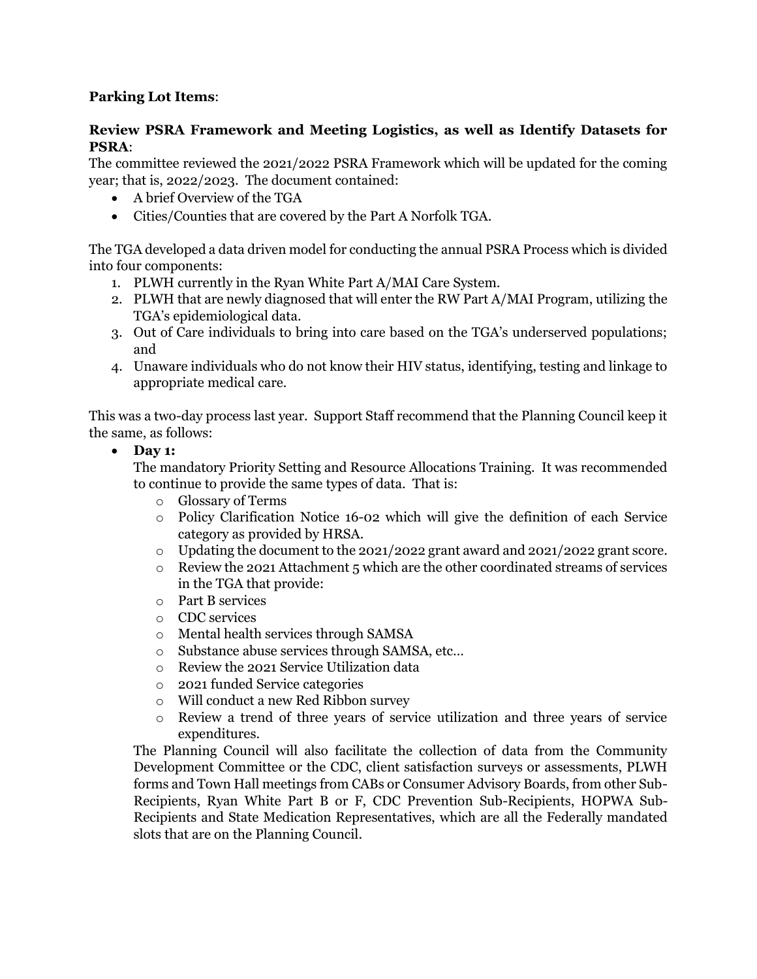# **Parking Lot Items**:

# **Review PSRA Framework and Meeting Logistics, as well as Identify Datasets for PSRA**:

The committee reviewed the 2021/2022 PSRA Framework which will be updated for the coming year; that is, 2022/2023. The document contained:

- A brief Overview of the TGA
- Cities/Counties that are covered by the Part A Norfolk TGA.

The TGA developed a data driven model for conducting the annual PSRA Process which is divided into four components:

- 1. PLWH currently in the Ryan White Part A/MAI Care System.
- 2. PLWH that are newly diagnosed that will enter the RW Part A/MAI Program, utilizing the TGA's epidemiological data.
- 3. Out of Care individuals to bring into care based on the TGA's underserved populations; and
- 4. Unaware individuals who do not know their HIV status, identifying, testing and linkage to appropriate medical care.

This was a two-day process last year. Support Staff recommend that the Planning Council keep it the same, as follows:

# • **Day 1:**

The mandatory Priority Setting and Resource Allocations Training. It was recommended to continue to provide the same types of data. That is:

- o Glossary of Terms
- o Policy Clarification Notice 16-02 which will give the definition of each Service category as provided by HRSA.
- o Updating the document to the 2021/2022 grant award and 2021/2022 grant score.
- o Review the 2021 Attachment 5 which are the other coordinated streams of services in the TGA that provide:
- o Part B services
- o CDC services
- o Mental health services through SAMSA
- o Substance abuse services through SAMSA, etc…
- o Review the 2021 Service Utilization data
- o 2021 funded Service categories
- o Will conduct a new Red Ribbon survey
- o Review a trend of three years of service utilization and three years of service expenditures.

The Planning Council will also facilitate the collection of data from the Community Development Committee or the CDC, client satisfaction surveys or assessments, PLWH forms and Town Hall meetings from CABs or Consumer Advisory Boards, from other Sub-Recipients, Ryan White Part B or F, CDC Prevention Sub-Recipients, HOPWA Sub-Recipients and State Medication Representatives, which are all the Federally mandated slots that are on the Planning Council.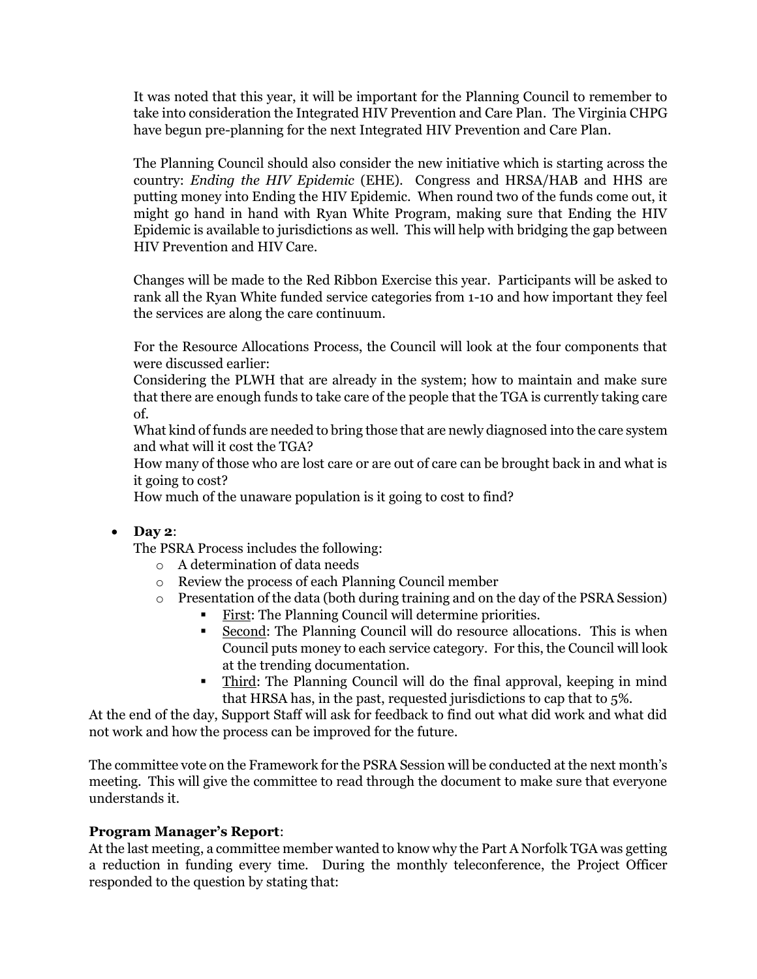It was noted that this year, it will be important for the Planning Council to remember to take into consideration the Integrated HIV Prevention and Care Plan. The Virginia CHPG have begun pre-planning for the next Integrated HIV Prevention and Care Plan.

The Planning Council should also consider the new initiative which is starting across the country: *Ending the HIV Epidemic* (EHE). Congress and HRSA/HAB and HHS are putting money into Ending the HIV Epidemic. When round two of the funds come out, it might go hand in hand with Ryan White Program, making sure that Ending the HIV Epidemic is available to jurisdictions as well. This will help with bridging the gap between HIV Prevention and HIV Care.

Changes will be made to the Red Ribbon Exercise this year. Participants will be asked to rank all the Ryan White funded service categories from 1-10 and how important they feel the services are along the care continuum.

For the Resource Allocations Process, the Council will look at the four components that were discussed earlier:

Considering the PLWH that are already in the system; how to maintain and make sure that there are enough funds to take care of the people that the TGA is currently taking care of.

What kind of funds are needed to bring those that are newly diagnosed into the care system and what will it cost the TGA?

How many of those who are lost care or are out of care can be brought back in and what is it going to cost?

How much of the unaware population is it going to cost to find?

# • **Day 2**:

The PSRA Process includes the following:

- o A determination of data needs
- o Review the process of each Planning Council member
- o Presentation of the data (both during training and on the day of the PSRA Session)
	- First: The Planning Council will determine priorities.
	- Second: The Planning Council will do resource allocations. This is when Council puts money to each service category. For this, the Council will look at the trending documentation.
	- Third: The Planning Council will do the final approval, keeping in mind that HRSA has, in the past, requested jurisdictions to cap that to 5%.

At the end of the day, Support Staff will ask for feedback to find out what did work and what did not work and how the process can be improved for the future.

The committee vote on the Framework for the PSRA Session will be conducted at the next month's meeting. This will give the committee to read through the document to make sure that everyone understands it.

# **Program Manager's Report**:

At the last meeting, a committee member wanted to know why the Part A Norfolk TGA was getting a reduction in funding every time. During the monthly teleconference, the Project Officer responded to the question by stating that: